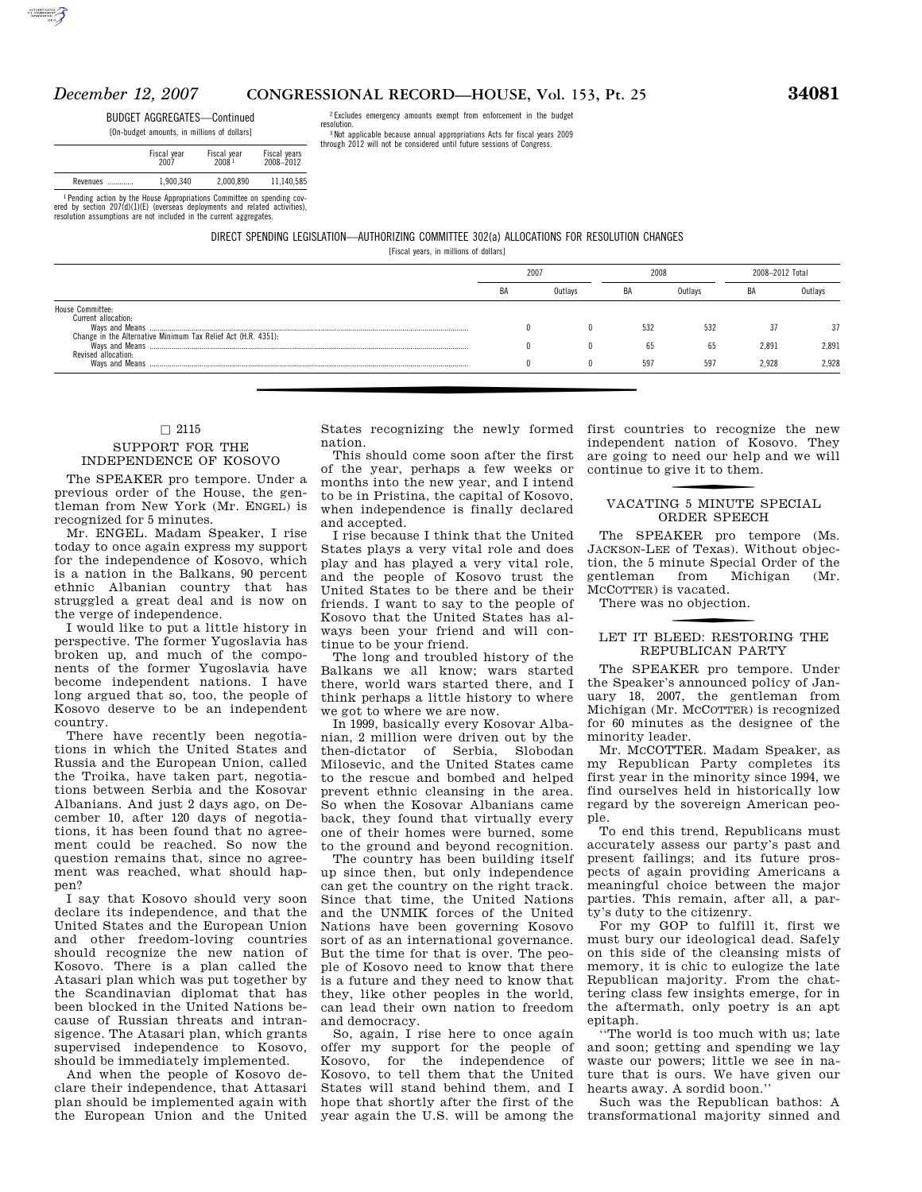# *December 12, 2007* **CONGRESSIONAL RECORD—HOUSE, Vol. 153, Pt. 25 34081**

BUDGET AGGREGATES—Continued

[On-budget amounts, in millions of dollars]

|                                                                        | Fiscal year<br>2007 | Fiscal year<br>20081 | Fiscal years<br>2008-2012 |  |
|------------------------------------------------------------------------|---------------------|----------------------|---------------------------|--|
| Revenues                                                               | 1.900.340           | 2.000.890            | 11.140.585                |  |
| 1 Panding action by the House Annonriations Committee on spending cov- |                     |                      |                           |  |

<sup>1</sup> Pending action by the House Appropriations Committee on spending cov-<br>ered by section 207(d)(1)(E) (overseas deployments and related activities),<br>resolution assumptions are not included in the current aggregates.

#### DIRECT SPENDING LEGISLATION—AUTHORIZING COMMITTEE 302(a) ALLOCATIONS FOR RESOLUTION CHANGES

 $2$  Excludes emergency amounts exempt from enforcement in the budget resolution resolution. 3 Not applicable because annual appropriations Acts for fiscal years 2009 through 2012 will not be considered until future sessions of Congress.

[Fiscal years, in millions of dollars]

|                                                                                      | 2007 |         | 2008 |         | 2008-2012 Total |         |
|--------------------------------------------------------------------------------------|------|---------|------|---------|-----------------|---------|
|                                                                                      | BA   | Outlavs | BA   | Outlavs | BA              | Outlavs |
| House Committee:                                                                     |      |         |      |         |                 |         |
| Current allocation:                                                                  |      |         | 532  | 532     | 37              | 37      |
| Change in the Alternative Minimum Tax Relief Act (H.R. 4351):<br>Revised allocation: |      |         | 65   | 65      | 2.891           | 2.891   |
|                                                                                      |      |         | 597  | 597     | 2.928           | 2.928   |

### $\Box$  2115

#### SUPPORT FOR THE INDEPENDENCE OF KOSOVO

The SPEAKER pro tempore. Under a previous order of the House, the gentleman from New York (Mr. ENGEL) is recognized for 5 minutes.

Mr. ENGEL. Madam Speaker, I rise today to once again express my support for the independence of Kosovo, which is a nation in the Balkans, 90 percent ethnic Albanian country that has struggled a great deal and is now on the verge of independence.

I would like to put a little history in perspective. The former Yugoslavia has broken up, and much of the components of the former Yugoslavia have become independent nations. I have long argued that so, too, the people of Kosovo deserve to be an independent country.

There have recently been negotiations in which the United States and Russia and the European Union, called the Troika, have taken part, negotiations between Serbia and the Kosovar Albanians. And just 2 days ago, on December 10, after 120 days of negotiations, it has been found that no agreement could be reached. So now the question remains that, since no agreement was reached, what should happen?

I say that Kosovo should very soon declare its independence, and that the United States and the European Union and other freedom-loving countries should recognize the new nation of Kosovo. There is a plan called the Atasari plan which was put together by the Scandinavian diplomat that has been blocked in the United Nations because of Russian threats and intransigence. The Atasari plan, which grants supervised independence to Kosovo, should be immediately implemented.

And when the people of Kosovo declare their independence, that Attasari plan should be implemented again with the European Union and the United

h States recognizing the newly formed nation.

This should come soon after the first of the year, perhaps a few weeks or months into the new year, and I intend to be in Pristina, the capital of Kosovo, when independence is finally declared and accepted.

I rise because I think that the United States plays a very vital role and does play and has played a very vital role, and the people of Kosovo trust the United States to be there and be their friends. I want to say to the people of Kosovo that the United States has always been your friend and will continue to be your friend.

The long and troubled history of the Balkans we all know; wars started there, world wars started there, and I think perhaps a little history to where we got to where we are now.

In 1999, basically every Kosovar Albanian, 2 million were driven out by the then-dictator of Serbia, Slobodan Milosevic, and the United States came to the rescue and bombed and helped prevent ethnic cleansing in the area. So when the Kosovar Albanians came back, they found that virtually every one of their homes were burned, some to the ground and beyond recognition.

The country has been building itself up since then, but only independence can get the country on the right track. Since that time, the United Nations and the UNMIK forces of the United Nations have been governing Kosovo sort of as an international governance. But the time for that is over. The people of Kosovo need to know that there is a future and they need to know that they, like other peoples in the world, can lead their own nation to freedom and democracy.

So, again, I rise here to once again offer my support for the people of Kosovo, for the independence of Kosovo, to tell them that the United States will stand behind them, and I hope that shortly after the first of the year again the U.S. will be among the

first countries to recognize the new independent nation of Kosovo. They are going to need our help and we will continue to give it to them.

## VACATING 5 MINUTE SPECIAL ORDER SPEECH

The SPEAKER pro tempore (Ms. JACKSON-LEE of Texas). Without objection, the 5 minute Special Order of the gentleman from Michigan (Mr. MCCOTTER) is vacated.

There was no objection.

# LET IT BLEED: RESTORING THE REPUBLICAN PARTY

The SPEAKER pro tempore. Under the Speaker's announced policy of January 18, 2007, the gentleman from Michigan (Mr. MCCOTTER) is recognized for 60 minutes as the designee of the minority leader.

Mr. MCCOTTER. Madam Speaker, as my Republican Party completes its first year in the minority since 1994, we find ourselves held in historically low regard by the sovereign American people.

To end this trend, Republicans must accurately assess our party's past and present failings; and its future prospects of again providing Americans a meaningful choice between the major parties. This remain, after all, a party's duty to the citizenry.

For my GOP to fulfill it, first we must bury our ideological dead. Safely on this side of the cleansing mists of memory, it is chic to eulogize the late Republican majority. From the chattering class few insights emerge, for in the aftermath, only poetry is an apt epitaph.

''The world is too much with us; late and soon; getting and spending we lay waste our powers; little we see in nature that is ours. We have given our hearts away. A sordid boon.''

Such was the Republican bathos: A transformational majority sinned and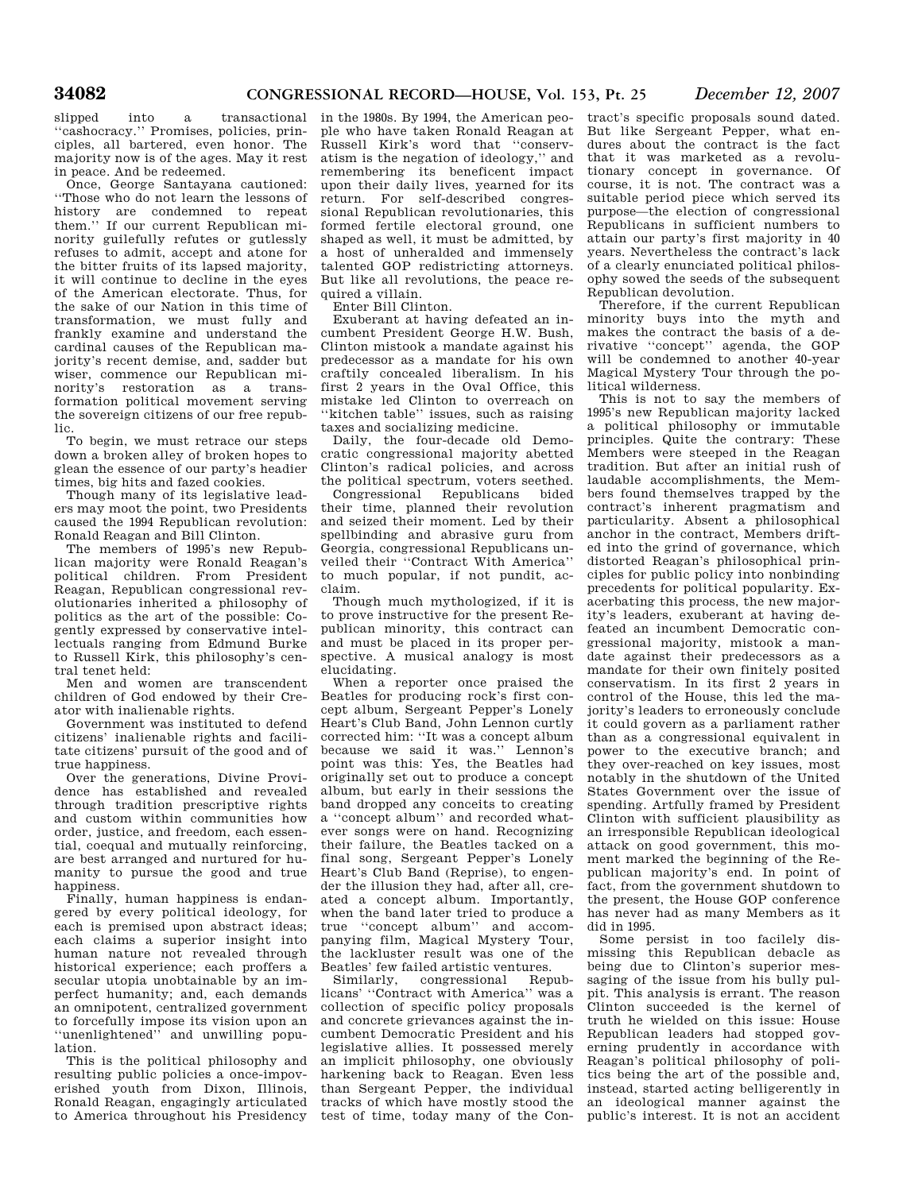''cashocracy.'' Promises, policies, principles, all bartered, even honor. The majority now is of the ages. May it rest in peace. And be redeemed.

Once, George Santayana cautioned: ''Those who do not learn the lessons of history are condemned to repeat them." If our current Republican minority guilefully refutes or gutlessly refuses to admit, accept and atone for the bitter fruits of its lapsed majority, it will continue to decline in the eyes of the American electorate. Thus, for the sake of our Nation in this time of transformation, we must fully and frankly examine and understand the cardinal causes of the Republican majority's recent demise, and, sadder but wiser, commence our Republican minority's restoration as a transformation political movement serving the sovereign citizens of our free republic.

To begin, we must retrace our steps down a broken alley of broken hopes to glean the essence of our party's headier times, big hits and fazed cookies.

Though many of its legislative leaders may moot the point, two Presidents caused the 1994 Republican revolution: Ronald Reagan and Bill Clinton.

The members of 1995's new Republican majority were Ronald Reagan's political children. From President Reagan, Republican congressional revolutionaries inherited a philosophy of politics as the art of the possible: Cogently expressed by conservative intellectuals ranging from Edmund Burke to Russell Kirk, this philosophy's central tenet held:

Men and women are transcendent children of God endowed by their Creator with inalienable rights.

Government was instituted to defend citizens' inalienable rights and facilitate citizens' pursuit of the good and of true happiness.

Over the generations, Divine Providence has established and revealed through tradition prescriptive rights and custom within communities how order, justice, and freedom, each essential, coequal and mutually reinforcing, are best arranged and nurtured for humanity to pursue the good and true happiness.

Finally, human happiness is endangered by every political ideology, for each is premised upon abstract ideas; each claims a superior insight into human nature not revealed through historical experience; each proffers a secular utopia unobtainable by an imperfect humanity; and, each demands an omnipotent, centralized government to forcefully impose its vision upon an ''unenlightened'' and unwilling population.

This is the political philosophy and resulting public policies a once-impoverished youth from Dixon, Illinois, Ronald Reagan, engagingly articulated to America throughout his Presidency

slipped into a transactional in the 1980s. By 1994, the American people who have taken Ronald Reagan at Russell Kirk's word that ''conservatism is the negation of ideology,'' and remembering its beneficent impact upon their daily lives, yearned for its return. For self-described congressional Republican revolutionaries, this formed fertile electoral ground, one shaped as well, it must be admitted, by a host of unheralded and immensely talented GOP redistricting attorneys. But like all revolutions, the peace required a villain.

Enter Bill Clinton.

Exuberant at having defeated an incumbent President George H.W. Bush, Clinton mistook a mandate against his predecessor as a mandate for his own craftily concealed liberalism. In his first 2 years in the Oval Office, this mistake led Clinton to overreach on ''kitchen table'' issues, such as raising taxes and socializing medicine.

Daily, the four-decade old Democratic congressional majority abetted Clinton's radical policies, and across the political spectrum, voters seethed.

Congressional Republicans bided their time, planned their revolution and seized their moment. Led by their spellbinding and abrasive guru from Georgia, congressional Republicans unveiled their ''Contract With America'' to much popular, if not pundit, acclaim.

Though much mythologized, if it is to prove instructive for the present Republican minority, this contract can and must be placed in its proper perspective. A musical analogy is most elucidating.

When a reporter once praised the Beatles for producing rock's first concept album, Sergeant Pepper's Lonely Heart's Club Band, John Lennon curtly corrected him: ''It was a concept album because we said it was.'' Lennon's point was this: Yes, the Beatles had originally set out to produce a concept album, but early in their sessions the band dropped any conceits to creating a ''concept album'' and recorded whatever songs were on hand. Recognizing their failure, the Beatles tacked on a final song, Sergeant Pepper's Lonely Heart's Club Band (Reprise), to engender the illusion they had, after all, created a concept album. Importantly, when the band later tried to produce a true ''concept album'' and accompanying film, Magical Mystery Tour, the lackluster result was one of the Beatles' few failed artistic ventures.

Similarly, congressional Republicans' ''Contract with America'' was a collection of specific policy proposals and concrete grievances against the incumbent Democratic President and his legislative allies. It possessed merely an implicit philosophy, one obviously harkening back to Reagan. Even less than Sergeant Pepper, the individual tracks of which have mostly stood the test of time, today many of the Contract's specific proposals sound dated. But like Sergeant Pepper, what endures about the contract is the fact that it was marketed as a revolutionary concept in governance. Of course, it is not. The contract was a suitable period piece which served its purpose—the election of congressional Republicans in sufficient numbers to attain our party's first majority in 40 years. Nevertheless the contract's lack of a clearly enunciated political philosophy sowed the seeds of the subsequent Republican devolution.

Therefore, if the current Republican minority buys into the myth and makes the contract the basis of a derivative ''concept'' agenda, the GOP will be condemned to another 40-year Magical Mystery Tour through the political wilderness.

This is not to say the members of 1995's new Republican majority lacked a political philosophy or immutable principles. Quite the contrary: These Members were steeped in the Reagan tradition. But after an initial rush of laudable accomplishments, the Members found themselves trapped by the contract's inherent pragmatism and particularity. Absent a philosophical anchor in the contract, Members drifted into the grind of governance, which distorted Reagan's philosophical principles for public policy into nonbinding precedents for political popularity. Exacerbating this process, the new majority's leaders, exuberant at having defeated an incumbent Democratic congressional majority, mistook a mandate against their predecessors as a mandate for their own finitely posited conservatism. In its first 2 years in control of the House, this led the majority's leaders to erroneously conclude it could govern as a parliament rather than as a congressional equivalent in power to the executive branch; and they over-reached on key issues, most notably in the shutdown of the United States Government over the issue of spending. Artfully framed by President Clinton with sufficient plausibility as an irresponsible Republican ideological attack on good government, this moment marked the beginning of the Republican majority's end. In point of fact, from the government shutdown to the present, the House GOP conference has never had as many Members as it did in 1995.

Some persist in too facilely dismissing this Republican debacle as being due to Clinton's superior messaging of the issue from his bully pulpit. This analysis is errant. The reason Clinton succeeded is the kernel of truth he wielded on this issue: House Republican leaders had stopped governing prudently in accordance with Reagan's political philosophy of politics being the art of the possible and, instead, started acting belligerently in an ideological manner against the public's interest. It is not an accident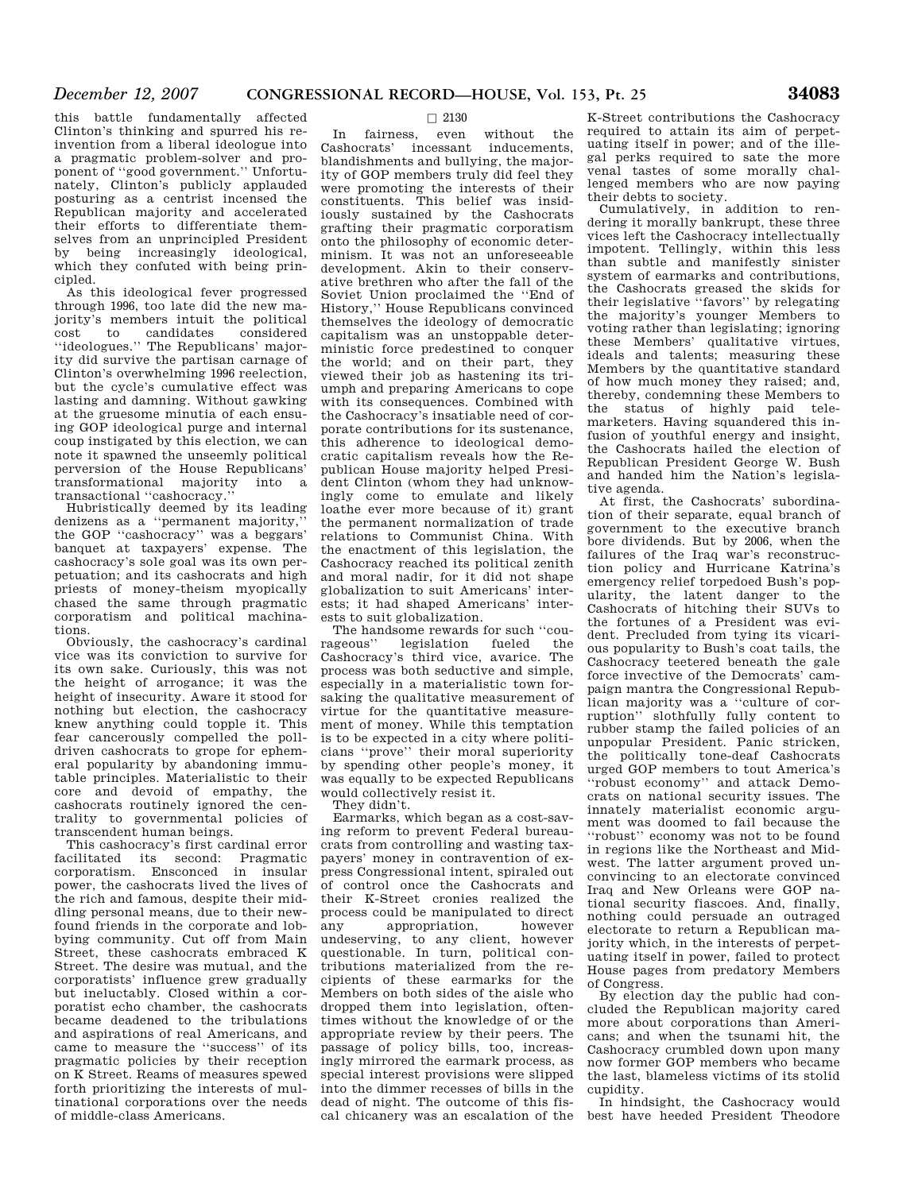this battle fundamentally affected Clinton's thinking and spurred his reinvention from a liberal ideologue into a pragmatic problem-solver and proponent of ''good government.'' Unfortunately, Clinton's publicly applauded posturing as a centrist incensed the Republican majority and accelerated their efforts to differentiate themselves from an unprincipled President by being increasingly ideological, which they confuted with being principled.

As this ideological fever progressed through 1996, too late did the new majority's members intuit the political cost to candidates considered ''ideologues.'' The Republicans' majority did survive the partisan carnage of Clinton's overwhelming 1996 reelection, but the cycle's cumulative effect was lasting and damning. Without gawking at the gruesome minutia of each ensuing GOP ideological purge and internal coup instigated by this election, we can note it spawned the unseemly political perversion of the House Republicans' transformational majority into a transactional ''cashocracy.''

Hubristically deemed by its leading denizens as a ''permanent majority,'' the GOP ''cashocracy'' was a beggars' banquet at taxpayers' expense. The cashocracy's sole goal was its own perpetuation; and its cashocrats and high priests of money-theism myopically chased the same through pragmatic corporatism and political machinations.

Obviously, the cashocracy's cardinal vice was its conviction to survive for its own sake. Curiously, this was not the height of arrogance; it was the height of insecurity. Aware it stood for nothing but election, the cashocracy knew anything could topple it. This fear cancerously compelled the polldriven cashocrats to grope for ephemeral popularity by abandoning immutable principles. Materialistic to their core and devoid of empathy, the cashocrats routinely ignored the centrality to governmental policies of transcendent human beings.

This cashocracy's first cardinal error facilitated its second: Pragmatic corporatism. Ensconced in insular power, the cashocrats lived the lives of the rich and famous, despite their middling personal means, due to their newfound friends in the corporate and lobbying community. Cut off from Main Street, these cashocrats embraced K Street. The desire was mutual, and the corporatists' influence grew gradually but ineluctably. Closed within a corporatist echo chamber, the cashocrats became deadened to the tribulations and aspirations of real Americans, and came to measure the ''success'' of its pragmatic policies by their reception on K Street. Reams of measures spewed forth prioritizing the interests of multinational corporations over the needs of middle-class Americans.

# $\Box$  2130<br>even

In fairness, even without the Cashocrats' incessant inducements, blandishments and bullying, the majority of GOP members truly did feel they were promoting the interests of their constituents. This belief was insidiously sustained by the Cashocrats grafting their pragmatic corporatism onto the philosophy of economic determinism. It was not an unforeseeable development. Akin to their conservative brethren who after the fall of the Soviet Union proclaimed the ''End of History,'' House Republicans convinced themselves the ideology of democratic capitalism was an unstoppable deterministic force predestined to conquer the world; and on their part, they viewed their job as hastening its triumph and preparing Americans to cope with its consequences. Combined with the Cashocracy's insatiable need of corporate contributions for its sustenance, this adherence to ideological democratic capitalism reveals how the Republican House majority helped President Clinton (whom they had unknowingly come to emulate and likely loathe ever more because of it) grant the permanent normalization of trade relations to Communist China. With the enactment of this legislation, the Cashocracy reached its political zenith and moral nadir, for it did not shape globalization to suit Americans' interests; it had shaped Americans' interests to suit globalization.

The handsome rewards for such "courageous" legislation fueled the legislation Cashocracy's third vice, avarice. The process was both seductive and simple, especially in a materialistic town forsaking the qualitative measurement of virtue for the quantitative measurement of money. While this temptation is to be expected in a city where politicians ''prove'' their moral superiority by spending other people's money, it was equally to be expected Republicans would collectively resist it.

They didn't.

Earmarks, which began as a cost-saving reform to prevent Federal bureaucrats from controlling and wasting taxpayers' money in contravention of express Congressional intent, spiraled out of control once the Cashocrats and their K-Street cronies realized the process could be manipulated to direct any appropriation, however undeserving, to any client, however questionable. In turn, political contributions materialized from the recipients of these earmarks for the Members on both sides of the aisle who dropped them into legislation, oftentimes without the knowledge of or the appropriate review by their peers. The passage of policy bills, too, increasingly mirrored the earmark process, as special interest provisions were slipped into the dimmer recesses of bills in the dead of night. The outcome of this fiscal chicanery was an escalation of the

K-Street contributions the Cashocracy required to attain its aim of perpetuating itself in power; and of the illegal perks required to sate the more venal tastes of some morally challenged members who are now paying their debts to society.

Cumulatively, in addition to rendering it morally bankrupt, these three vices left the Cashocracy intellectually impotent. Tellingly, within this less than subtle and manifestly sinister system of earmarks and contributions, the Cashocrats greased the skids for their legislative ''favors'' by relegating the majority's younger Members to voting rather than legislating; ignoring these Members' qualitative virtues, ideals and talents; measuring these Members by the quantitative standard of how much money they raised; and, thereby, condemning these Members to the status of highly paid telemarketers. Having squandered this infusion of youthful energy and insight, the Cashocrats hailed the election of Republican President George W. Bush and handed him the Nation's legislative agenda.

At first, the Cashocrats' subordination of their separate, equal branch of government to the executive branch bore dividends. But by 2006, when the failures of the Iraq war's reconstruction policy and Hurricane Katrina's emergency relief torpedoed Bush's popularity, the latent danger to the Cashocrats of hitching their SUVs to the fortunes of a President was evident. Precluded from tying its vicarious popularity to Bush's coat tails, the Cashocracy teetered beneath the gale force invective of the Democrats' campaign mantra the Congressional Republican majority was a ''culture of corruption'' slothfully fully content to rubber stamp the failed policies of an unpopular President. Panic stricken, the politically tone-deaf Cashocrats urged GOP members to tout America's ''robust economy'' and attack Democrats on national security issues. The innately materialist economic argument was doomed to fail because the ''robust'' economy was not to be found in regions like the Northeast and Midwest. The latter argument proved unconvincing to an electorate convinced Iraq and New Orleans were GOP national security fiascoes. And, finally, nothing could persuade an outraged electorate to return a Republican majority which, in the interests of perpetuating itself in power, failed to protect House pages from predatory Members of Congress.

By election day the public had concluded the Republican majority cared more about corporations than Americans; and when the tsunami hit, the Cashocracy crumbled down upon many now former GOP members who became the last, blameless victims of its stolid cupidity.

In hindsight, the Cashocracy would best have heeded President Theodore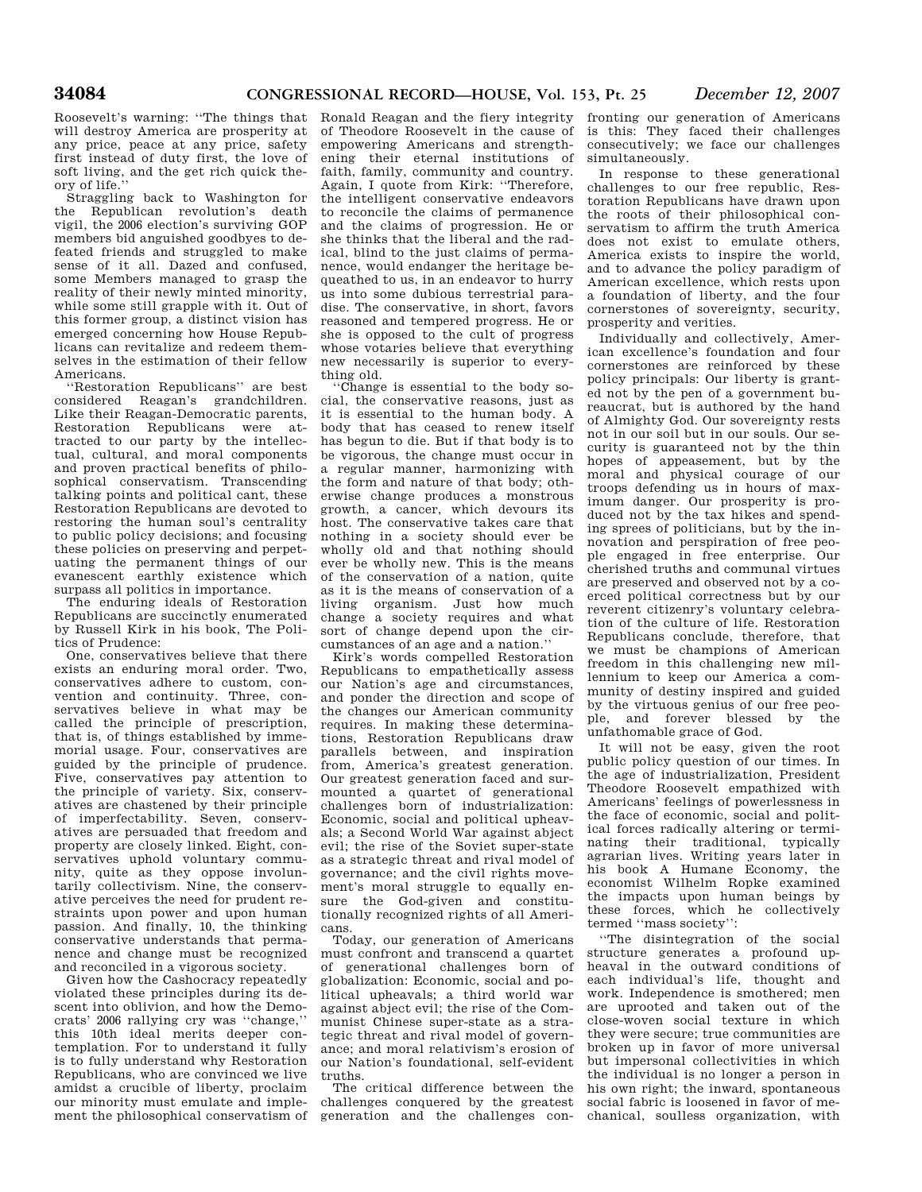will destroy America are prosperity at any price, peace at any price, safety first instead of duty first, the love of soft living, and the get rich quick theory of life.''

Straggling back to Washington for the Republican revolution's death vigil, the 2006 election's surviving GOP members bid anguished goodbyes to defeated friends and struggled to make sense of it all. Dazed and confused, some Members managed to grasp the reality of their newly minted minority, while some still grapple with it. Out of this former group, a distinct vision has emerged concerning how House Republicans can revitalize and redeem themselves in the estimation of their fellow Americans.

'Restoration Republicans'' are best considered Reagan's grandchildren. Like their Reagan-Democratic parents, Restoration Republicans were attracted to our party by the intellectual, cultural, and moral components and proven practical benefits of philosophical conservatism. Transcending talking points and political cant, these Restoration Republicans are devoted to restoring the human soul's centrality to public policy decisions; and focusing these policies on preserving and perpetuating the permanent things of our evanescent earthly existence which surpass all politics in importance.

The enduring ideals of Restoration Republicans are succinctly enumerated by Russell Kirk in his book, The Politics of Prudence:

One, conservatives believe that there exists an enduring moral order. Two, conservatives adhere to custom, convention and continuity. Three, conservatives believe in what may be called the principle of prescription, that is, of things established by immemorial usage. Four, conservatives are guided by the principle of prudence. Five, conservatives pay attention to the principle of variety. Six, conservatives are chastened by their principle of imperfectability. Seven, conservatives are persuaded that freedom and property are closely linked. Eight, conservatives uphold voluntary community, quite as they oppose involuntarily collectivism. Nine, the conservative perceives the need for prudent restraints upon power and upon human passion. And finally, 10, the thinking conservative understands that permanence and change must be recognized and reconciled in a vigorous society.

Given how the Cashocracy repeatedly violated these principles during its descent into oblivion, and how the Democrats' 2006 rallying cry was ''change,'' this 10th ideal merits deeper contemplation. For to understand it fully is to fully understand why Restoration Republicans, who are convinced we live amidst a crucible of liberty, proclaim our minority must emulate and implement the philosophical conservatism of

Roosevelt's warning: ''The things that Ronald Reagan and the fiery integrity fronting our generation of Americans of Theodore Roosevelt in the cause of empowering Americans and strengthening their eternal institutions of faith, family, community and country. Again, I quote from Kirk: ''Therefore, the intelligent conservative endeavors to reconcile the claims of permanence and the claims of progression. He or she thinks that the liberal and the radical, blind to the just claims of permanence, would endanger the heritage bequeathed to us, in an endeavor to hurry us into some dubious terrestrial paradise. The conservative, in short, favors reasoned and tempered progress. He or she is opposed to the cult of progress whose votaries believe that everything new necessarily is superior to everything old.

''Change is essential to the body social, the conservative reasons, just as it is essential to the human body. A body that has ceased to renew itself has begun to die. But if that body is to be vigorous, the change must occur in a regular manner, harmonizing with the form and nature of that body; otherwise change produces a monstrous growth, a cancer, which devours its host. The conservative takes care that nothing in a society should ever be wholly old and that nothing should ever be wholly new. This is the means of the conservation of a nation, quite as it is the means of conservation of a living organism. Just how much change a society requires and what sort of change depend upon the circumstances of an age and a nation.''

Kirk's words compelled Restoration Republicans to empathetically assess our Nation's age and circumstances, and ponder the direction and scope of the changes our American community requires. In making these determinations, Restoration Republicans draw parallels between, and inspiration from, America's greatest generation. Our greatest generation faced and surmounted a quartet of generational challenges born of industrialization: Economic, social and political upheavals; a Second World War against abject evil; the rise of the Soviet super-state as a strategic threat and rival model of governance; and the civil rights movement's moral struggle to equally ensure the God-given and constitutionally recognized rights of all Americans.

Today, our generation of Americans must confront and transcend a quartet of generational challenges born of globalization: Economic, social and political upheavals; a third world war against abject evil; the rise of the Communist Chinese super-state as a strategic threat and rival model of governance; and moral relativism's erosion of our Nation's foundational, self-evident truths.

The critical difference between the challenges conquered by the greatest generation and the challenges conis this: They faced their challenges consecutively; we face our challenges simultaneously.

In response to these generational challenges to our free republic, Restoration Republicans have drawn upon the roots of their philosophical conservatism to affirm the truth America does not exist to emulate others, America exists to inspire the world, and to advance the policy paradigm of American excellence, which rests upon a foundation of liberty, and the four cornerstones of sovereignty, security, prosperity and verities.

Individually and collectively, American excellence's foundation and four cornerstones are reinforced by these policy principals: Our liberty is granted not by the pen of a government bureaucrat, but is authored by the hand of Almighty God. Our sovereignty rests not in our soil but in our souls. Our security is guaranteed not by the thin hopes of appeasement, but by the moral and physical courage of our troops defending us in hours of maximum danger. Our prosperity is produced not by the tax hikes and spending sprees of politicians, but by the innovation and perspiration of free people engaged in free enterprise. Our cherished truths and communal virtues are preserved and observed not by a coerced political correctness but by our reverent citizenry's voluntary celebration of the culture of life. Restoration Republicans conclude, therefore, that we must be champions of American freedom in this challenging new millennium to keep our America a community of destiny inspired and guided by the virtuous genius of our free people, and forever blessed by the unfathomable grace of God.

It will not be easy, given the root public policy question of our times. In the age of industrialization, President Theodore Roosevelt empathized with Americans' feelings of powerlessness in the face of economic, social and political forces radically altering or terminating their traditional, typically agrarian lives. Writing years later in his book A Humane Economy, the economist Wilhelm Ropke examined the impacts upon human beings by these forces, which he collectively termed ''mass society'':

''The disintegration of the social structure generates a profound upheaval in the outward conditions of each individual's life, thought and work. Independence is smothered; men are uprooted and taken out of the close-woven social texture in which they were secure; true communities are broken up in favor of more universal but impersonal collectivities in which the individual is no longer a person in his own right; the inward, spontaneous social fabric is loosened in favor of mechanical, soulless organization, with